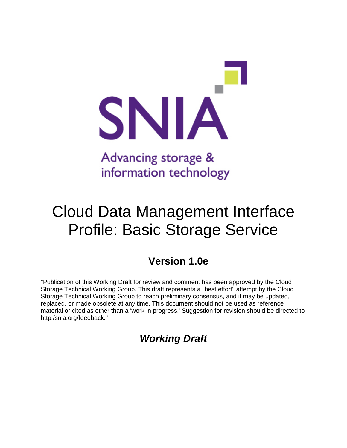

# Cloud Data Management Interface Profile: Basic Storage Service

# **Version 1.0e**

"Publication of this Working Draft for review and comment has been approved by the Cloud Storage Technical Working Group. This draft represents a "best effort" attempt by the Cloud Storage Technical Working Group to reach preliminary consensus, and it may be updated, replaced, or made obsolete at any time. This document should not be used as reference material or cited as other than a 'work in progress.' Suggestion for revision should be directed to http:/snia.org/feedback."

*Working Draft*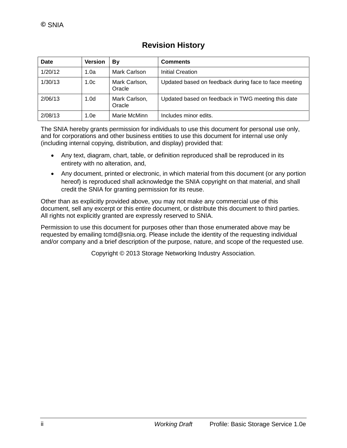| Date    | <b>Version</b>   | B٧                      | <b>Comments</b>                                       |
|---------|------------------|-------------------------|-------------------------------------------------------|
| 1/20/12 | 1.0a             | Mark Carlson            | Initial Creation                                      |
| 1/30/13 | 1.0 <sub>c</sub> | Mark Carlson,<br>Oracle | Updated based on feedback during face to face meeting |
| 2/06/13 | 1.0 <sub>d</sub> | Mark Carlson,<br>Oracle | Updated based on feedback in TWG meeting this date    |
| 2/08/13 | 1.0e             | Marie McMinn            | Includes minor edits.                                 |

# **Revision History**

The SNIA hereby grants permission for individuals to use this document for personal use only, and for corporations and other business entities to use this document for internal use only (including internal copying, distribution, and display) provided that:

- Any text, diagram, chart, table, or definition reproduced shall be reproduced in its entirety with no alteration, and,
- Any document, printed or electronic, in which material from this document (or any portion hereof) is reproduced shall acknowledge the SNIA copyright on that material, and shall credit the SNIA for granting permission for its reuse.

Other than as explicitly provided above, you may not make any commercial use of this document, sell any excerpt or this entire document, or distribute this document to third parties. All rights not explicitly granted are expressly reserved to SNIA.

Permission to use this document for purposes other than those enumerated above may be requested by emailing tcmd@snia.org. Please include the identity of the requesting individual and/or company and a brief description of the purpose, nature, and scope of the requested use.

Copyright © 2013 Storage Networking Industry Association.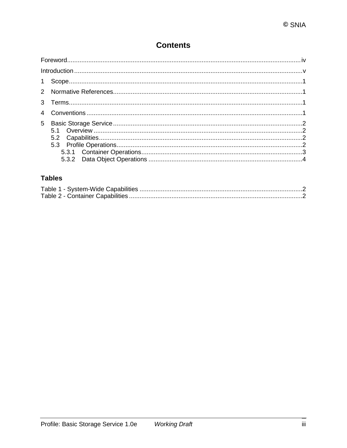# **Contents**

# **Tables**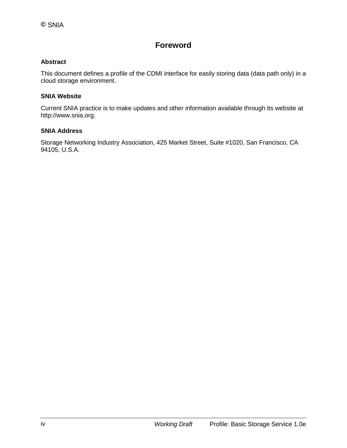# **Foreword**

### **Abstract**

This document defines a profile of the CDMI interface for easily storing data (data path only) in a cloud storage environment.

#### **SNIA Website**

Current SNIA practice is to make updates and other information available through its website at http://www.snia.org.

#### **SNIA Address**

Storage Networking Industry Association, 425 Market Street, Suite #1020, San Francisco, CA 94105, U.S.A.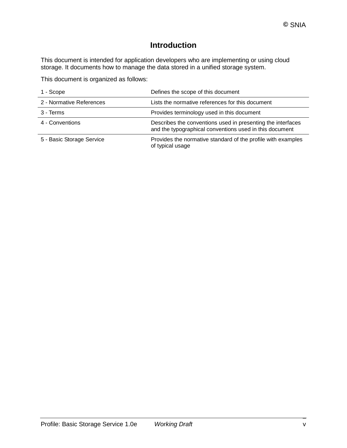# **Introduction**

This document is intended for application developers who are implementing or using cloud storage. It documents how to manage the data stored in a unified storage system.

This document is organized as follows:

| 1 - Scope                 | Defines the scope of this document                                                                                     |
|---------------------------|------------------------------------------------------------------------------------------------------------------------|
| 2 - Normative References  | Lists the normative references for this document                                                                       |
| 3 - Terms                 | Provides terminology used in this document                                                                             |
| 4 - Conventions           | Describes the conventions used in presenting the interfaces<br>and the typographical conventions used in this document |
| 5 - Basic Storage Service | Provides the normative standard of the profile with examples<br>of typical usage                                       |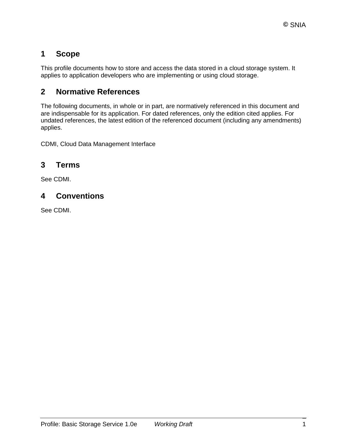# **1 Scope**

This profile documents how to store and access the data stored in a cloud storage system. It applies to application developers who are implementing or using cloud storage.

# **2 Normative References**

The following documents, in whole or in part, are normatively referenced in this document and are indispensable for its application. For dated references, only the edition cited applies. For undated references, the latest edition of the referenced document (including any amendments) applies.

CDMI, Cloud Data Management Interface

# **3 Terms**

See CDMI.

# **4 Conventions**

See CDMI.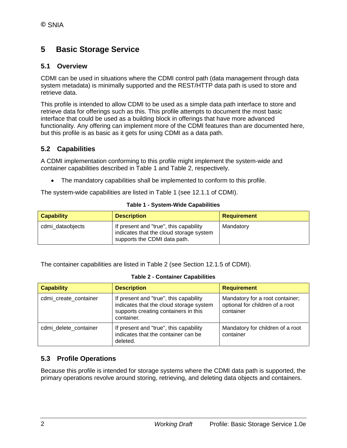# **5 Basic Storage Service**

## **5.1 Overview**

CDMI can be used in situations where the CDMI control path (data management through data system metadata) is minimally supported and the REST/HTTP data path is used to store and retrieve data.

This profile is intended to allow CDMI to be used as a simple data path interface to store and retrieve data for offerings such as this. This profile attempts to document the most basic interface that could be used as a building block in offerings that have more advanced functionality. Any offering can implement more of the CDMI features than are documented here, but this profile is as basic as it gets for using CDMI as a data path.

## **5.2 Capabilities**

A CDMI implementation conforming to this profile might implement the system-wide and container capabilities described in [Table 1](#page-7-0) and [Table 2,](#page-7-1) respectively.

• The mandatory capabilities shall be implemented to conform to this profile.

The system-wide capabilities are listed in [Table 1](#page-7-0) (see 12.1.1 of CDMI).

<span id="page-7-0"></span>

| <b>Capability</b> | <b>Description</b>                                                                                                | <b>Requirement</b> |
|-------------------|-------------------------------------------------------------------------------------------------------------------|--------------------|
| cdmi dataobjects  | If present and "true", this capability<br>indicates that the cloud storage system<br>supports the CDMI data path. | Mandatory          |

#### **Table 1 - System-Wide Capabilities**

The container capabilities are listed in [Table 2](#page-7-1) (see Section 12.1.5 of CDMI).

|  |  |  | <b>Table 2 - Container Capabilities</b> |
|--|--|--|-----------------------------------------|
|--|--|--|-----------------------------------------|

<span id="page-7-1"></span>

| <b>Capability</b>     | <b>Description</b>                                                                                                                      | <b>Requirement</b>                                                              |
|-----------------------|-----------------------------------------------------------------------------------------------------------------------------------------|---------------------------------------------------------------------------------|
| cdmi create container | If present and "true", this capability<br>indicates that the cloud storage system<br>supports creating containers in this<br>container. | Mandatory for a root container;<br>optional for children of a root<br>container |
| cdmi delete container | If present and "true", this capability<br>indicates that the container can be<br>deleted.                                               | Mandatory for children of a root<br>container                                   |

## **5.3 Profile Operations**

Because this profile is intended for storage systems where the CDMI data path is supported, the primary operations revolve around storing, retrieving, and deleting data objects and containers.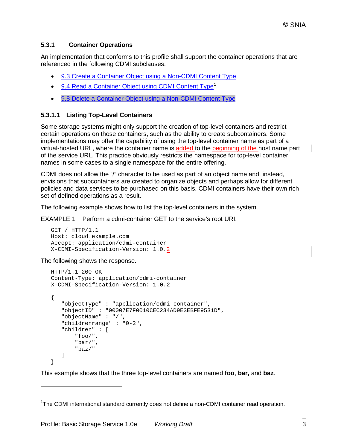## **5.3.1 Container Operations**

An implementation that conforms to this profile shall support the container operations that are referenced in the following CDMI subclauses:

- 9.3 Create a Container Object using a [Non-CDMI](http://cdmi.sniacloud.com/CDMI_Spec/9-Container_Objects/9-Container_Objects.htm%23TOC_9_3_Create_a_Containerbc-16) Content Type
- 9.4 Read a [Container](http://cdmi.sniacloud.com/CDMI_Spec/9-Container_Objects/9-Container_Objects.htm%23TOC_9_4_Read_a_Containerbc-25) Object using CDMI Content Type<sup>[1](#page-8-0)</sup>
- 9.8 Delete a Container Object using a [Non-CDMI](http://cdmi.sniacloud.com/CDMI_Spec/9-Container_Objects/9-Container_Objects.htm%23TOC_9_8_Delete_a_Containerbc-61) Content Type

## **5.3.1.1 Listing Top-Level Containers**

Some storage systems might only support the creation of top-level containers and restrict certain operations on those containers, such as the ability to create subcontainers. Some implementations may offer the capability of using the top-level container name as part of a virtual-hosted URL, where the container name is added to the beginning of the host name part of the service URL. This practice obviously restricts the namespace for top-level container names in some cases to a single namespace for the entire offering.

CDMI does not allow the "/" character to be used as part of an object name and, instead, envisions that subcontainers are created to organize objects and perhaps allow for different policies and data services to be purchased on this basis. CDMI containers have their own rich set of defined operations as a result.

The following example shows how to list the top-level containers in the system.

EXAMPLE 1 Perform a cdmi-container GET to the service's root URI:

```
GET / HTTP/1.1
Host: cloud.example.com
Accept: application/cdmi-container
X-CDMI-Specification-Version: 1.0.2
```
The following shows the response.

 $\overline{a}$ 

```
HTTP/1.1 200 OK
Content-Type: application/cdmi-container
X-CDMI-Specification-Version: 1.0.2
{
    "objectType" : "application/cdmi-container",
    "objectID" : "00007E7F0010CEC234AD9E3EBFE9531D",
    "objectName" : "/",
    "childrenrange" : "0-2",
    "children" : [
        "foo/",
        "bar/",
        "baz/" 
    ]
}
```
This example shows that the three top-level containers are named **foo**, **bar,** and **baz**.

<span id="page-8-0"></span><sup>&</sup>lt;sup>1</sup>The CDMI international standard currently does not define a non-CDMI container read operation.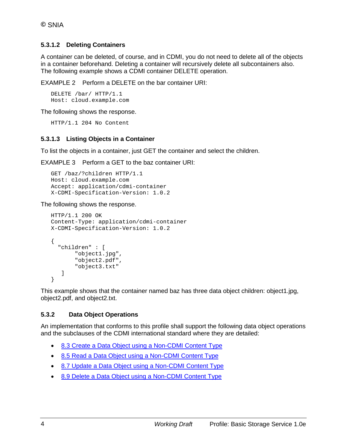## **5.3.1.2 Deleting Containers**

A container can be deleted, of course, and in CDMI, you do not need to delete all of the objects in a container beforehand. Deleting a container will recursively delete all subcontainers also. The following example shows a CDMI container DELETE operation.

EXAMPLE 2 Perform a DELETE on the bar container URI:

```
DELETE /bar/ HTTP/1.1
Host: cloud.example.com
```
The following shows the response.

HTTP/1.1 204 No Content

#### **5.3.1.3 Listing Objects in a Container**

To list the objects in a container, just GET the container and select the children.

EXAMPLE 3 Perform a GET to the baz container URI:

```
GET /baz/?children HTTP/1.1
Host: cloud.example.com
Accept: application/cdmi-container
X-CDMI-Specification-Version: 1.0.2
```
The following shows the response.

```
HTTP/1.1 200 OK
Content-Type: application/cdmi-container
X-CDMI-Specification-Version: 1.0.2
 { 
   "children" : [
        "object1.jpg",
        "object2.pdf",
        "object3.txt" 
    ]
}
```
This example shows that the container named baz has three data object children: object1.jpg, object2.pdf, and object2.txt.

## **5.3.2 Data Object Operations**

An implementation that conforms to this profile shall support the following data object operations and the subclauses of the CDMI international standard where they are detailed:

- 8.3 Create a Data Object using a [Non-CDMI](http://cdmi.sniacloud.com/CDMI_Spec/8-Data_Objects/8-Data_Objects.htm%23TOC_8_3_Create_a_Data_Objectbc-15) Content Type
- 8.5 Read a Data Object using a [Non-CDMI](http://cdmi.sniacloud.com/CDMI_Spec/8-Data_Objects/8-Data_Objects.htm%23TOC_8_5_Read_a_Data_Objectbc-33) Content Type
- 8.7 Update a Data Object using a [Non-CDMI](http://cdmi.sniacloud.com/CDMI_Spec/8-Data_Objects/8-Data_Objects.htm%23TOC_8_7_Update_a_Data_Objectbc-51) Content Type
- 8.9 Delete a Data Object using a [Non-CDMI](http://cdmi.sniacloud.com/CDMI_Spec/8-Data_Objects/8-Data_Objects.htm%23TOC_8_9_Delete_a_Data_Objectbc-69) Content Type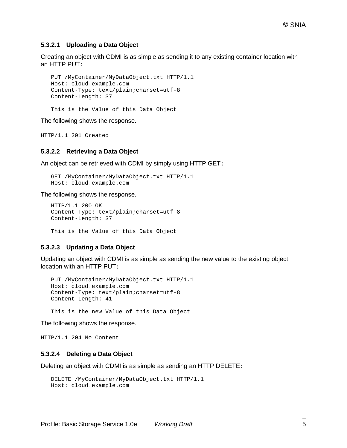#### **5.3.2.1 Uploading a Data Object**

Creating an object with CDMI is as simple as sending it to any existing container location with an HTTP PUT:

```
PUT /MyContainer/MyDataObject.txt HTTP/1.1
Host: cloud.example.com
Content-Type: text/plain;charset=utf-8
Content-Length: 37
```
This is the Value of this Data Object

The following shows the response.

HTTP/1.1 201 Created

#### **5.3.2.2 Retrieving a Data Object**

An object can be retrieved with CDMI by simply using HTTP GET:

```
GET /MyContainer/MyDataObject.txt HTTP/1.1
Host: cloud.example.com
```
The following shows the response.

```
HTTP/1.1 200 OK
Content-Type: text/plain;charset=utf-8
Content-Length: 37
```
This is the Value of this Data Object

#### **5.3.2.3 Updating a Data Object**

Updating an object with CDMI is as simple as sending the new value to the existing object location with an HTTP PUT:

```
PUT /MyContainer/MyDataObject.txt HTTP/1.1
Host: cloud.example.com
Content-Type: text/plain;charset=utf-8
Content-Length: 41
```
This is the new Value of this Data Object

The following shows the response.

HTTP/1.1 204 No Content

#### **5.3.2.4 Deleting a Data Object**

Deleting an object with CDMI is as simple as sending an HTTP DELETE:

```
DELETE /MyContainer/MyDataObject.txt HTTP/1.1
Host: cloud.example.com
```